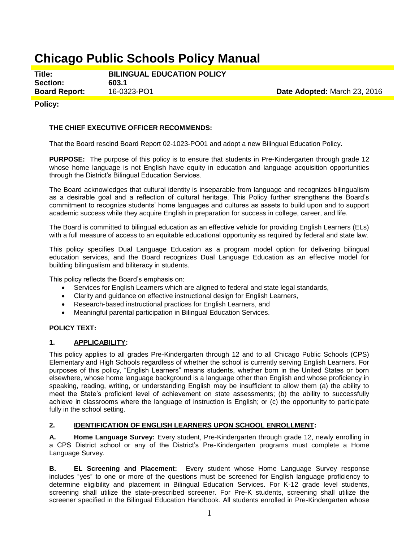# **Chicago Public Schools Policy Manual**

**Title: BILINGUAL EDUCATION POLICY Section: 603.1 Board Report:** 16-0323-PO1 **Date Adopted:** March 23, 2016

#### **Policy:**

#### **THE CHIEF EXECUTIVE OFFICER RECOMMENDS:**

That the Board rescind Board Report 02-1023-PO01 and adopt a new Bilingual Education Policy.

**PURPOSE:** The purpose of this policy is to ensure that students in Pre-Kindergarten through grade 12 whose home language is not English have equity in education and language acquisition opportunities through the District's Bilingual Education Services.

The Board acknowledges that cultural identity is inseparable from language and recognizes bilingualism as a desirable goal and a reflection of cultural heritage. This Policy further strengthens the Board's commitment to recognize students' home languages and cultures as assets to build upon and to support academic success while they acquire English in preparation for success in college, career, and life.

The Board is committed to bilingual education as an effective vehicle for providing English Learners (ELs) with a full measure of access to an equitable educational opportunity as required by federal and state law.

This policy specifies Dual Language Education as a program model option for delivering bilingual education services, and the Board recognizes Dual Language Education as an effective model for building bilingualism and biliteracy in students.

This policy reflects the Board's emphasis on:

- Services for English Learners which are aligned to federal and state legal standards,
- Clarity and guidance on effective instructional design for English Learners,
- Research-based instructional practices for English Learners, and
- Meaningful parental participation in Bilingual Education Services.

#### **POLICY TEXT:**

#### **1. APPLICABILITY:**

This policy applies to all grades Pre-Kindergarten through 12 and to all Chicago Public Schools (CPS) Elementary and High Schools regardless of whether the school is currently serving English Learners. For purposes of this policy, "English Learners" means students, whether born in the United States or born elsewhere, whose home language background is a language other than English and whose proficiency in speaking, reading, writing, or understanding English may be insufficient to allow them (a) the ability to meet the State's proficient level of achievement on state assessments; (b) the ability to successfully achieve in classrooms where the language of instruction is English; or (c) the opportunity to participate fully in the school setting.

## **2. IDENTIFICATION OF ENGLISH LEARNERS UPON SCHOOL ENROLLMENT:**

**A. Home Language Survey:** Every student, Pre-Kindergarten through grade 12, newly enrolling in a CPS District school or any of the District's Pre-Kindergarten programs must complete a Home Language Survey.

**B. EL Screening and Placement:** Every student whose Home Language Survey response includes "yes" to one or more of the questions must be screened for English language proficiency to determine eligibility and placement in Bilingual Education Services. For K-12 grade level students, screening shall utilize the state-prescribed screener. For Pre-K students, screening shall utilize the screener specified in the Bilingual Education Handbook. All students enrolled in Pre-Kindergarten whose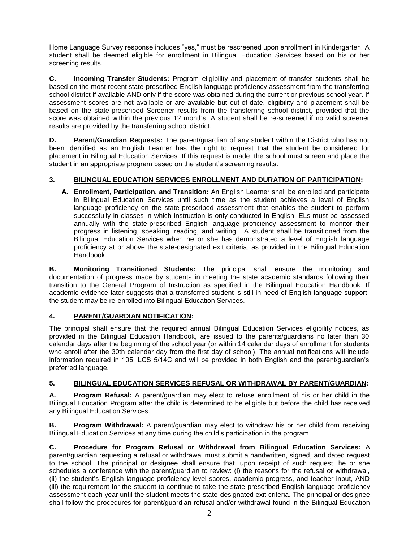Home Language Survey response includes "yes," must be rescreened upon enrollment in Kindergarten. A student shall be deemed eligible for enrollment in Bilingual Education Services based on his or her screening results.

**C. Incoming Transfer Students:** Program eligibility and placement of transfer students shall be based on the most recent state-prescribed English language proficiency assessment from the transferring school district if available AND only if the score was obtained during the current or previous school year. If assessment scores are not available or are available but out-of-date, eligibility and placement shall be based on the state-prescribed Screener results from the transferring school district, provided that the score was obtained within the previous 12 months. A student shall be re-screened if no valid screener results are provided by the transferring school district.

**D.** Parent/Guardian Requests: The parent/guardian of any student within the District who has not been identified as an English Learner has the right to request that the student be considered for placement in Bilingual Education Services. If this request is made, the school must screen and place the student in an appropriate program based on the student's screening results.

# **3. BILINGUAL EDUCATION SERVICES ENROLLMENT AND DURATION OF PARTICIPATION:**

**A. Enrollment, Participation, and Transition:** An English Learner shall be enrolled and participate in Bilingual Education Services until such time as the student achieves a level of English language proficiency on the state-prescribed assessment that enables the student to perform successfully in classes in which instruction is only conducted in English. ELs must be assessed annually with the state-prescribed English language proficiency assessment to monitor their progress in listening, speaking, reading, and writing. A student shall be transitioned from the Bilingual Education Services when he or she has demonstrated a level of English language proficiency at or above the state-designated exit criteria, as provided in the Bilingual Education Handbook.

**B. Monitoring Transitioned Students:** The principal shall ensure the monitoring and documentation of progress made by students in meeting the state academic standards following their transition to the General Program of Instruction as specified in the Bilingual Education Handbook. If academic evidence later suggests that a transferred student is still in need of English language support, the student may be re-enrolled into Bilingual Education Services.

# **4. PARENT/GUARDIAN NOTIFICATION:**

The principal shall ensure that the required annual Bilingual Education Services eligibility notices, as provided in the Bilingual Education Handbook, are issued to the parents/guardians no later than 30 calendar days after the beginning of the school year (or within 14 calendar days of enrollment for students who enroll after the 30th calendar day from the first day of school). The annual notifications will include information required in 105 ILCS 5/14C and will be provided in both English and the parent/guardian's preferred language.

# **5. BILINGUAL EDUCATION SERVICES REFUSAL OR WITHDRAWAL BY PARENT/GUARDIAN:**

**A. Program Refusal:** A parent/guardian may elect to refuse enrollment of his or her child in the Bilingual Education Program after the child is determined to be eligible but before the child has received any Bilingual Education Services.

**B. Program Withdrawal:** A parent/guardian may elect to withdraw his or her child from receiving Bilingual Education Services at any time during the child's participation in the program.

**C. Procedure for Program Refusal or Withdrawal from Bilingual Education Services:** A parent/guardian requesting a refusal or withdrawal must submit a handwritten, signed, and dated request to the school. The principal or designee shall ensure that, upon receipt of such request, he or she schedules a conference with the parent/guardian to review: (i) the reasons for the refusal or withdrawal, (ii) the student's English language proficiency level scores, academic progress, and teacher input, AND (iii) the requirement for the student to continue to take the state-prescribed English language proficiency assessment each year until the student meets the state-designated exit criteria. The principal or designee shall follow the procedures for parent/guardian refusal and/or withdrawal found in the Bilingual Education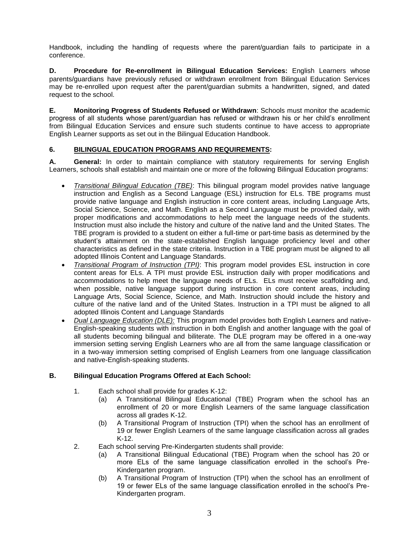Handbook, including the handling of requests where the parent/guardian fails to participate in a conference.

**D. Procedure for Re-enrollment in Bilingual Education Services:** English Learners whose parents/guardians have previously refused or withdrawn enrollment from Bilingual Education Services may be re-enrolled upon request after the parent/guardian submits a handwritten, signed, and dated request to the school.

**E. Monitoring Progress of Students Refused or Withdrawn**: Schools must monitor the academic progress of all students whose parent/guardian has refused or withdrawn his or her child's enrollment from Bilingual Education Services and ensure such students continue to have access to appropriate English Learner supports as set out in the Bilingual Education Handbook.

## **6. BILINGUAL EDUCATION PROGRAMS AND REQUIREMENTS:**

**A. General:** In order to maintain compliance with statutory requirements for serving English Learners, schools shall establish and maintain one or more of the following Bilingual Education programs:

- *Transitional Bilingual Education (TBE)*: This bilingual program model provides native language instruction and English as a Second Language (ESL) instruction for ELs. TBE programs must provide native language and English instruction in core content areas, including Language Arts, Social Science, Science, and Math. English as a Second Language must be provided daily, with proper modifications and accommodations to help meet the language needs of the students. Instruction must also include the history and culture of the native land and the United States. The TBE program is provided to a student on either a full-time or part-time basis as determined by the student's attainment on the state-established English language proficiency level and other characteristics as defined in the state criteria. Instruction in a TBE program must be aligned to all adopted Illinois Content and Language Standards.
- *Transitional Program of Instruction (TPI)*: This program model provides ESL instruction in core content areas for ELs. A TPI must provide ESL instruction daily with proper modifications and accommodations to help meet the language needs of ELs. ELs must receive scaffolding and, when possible, native language support during instruction in core content areas, including Language Arts, Social Science, Science, and Math. Instruction should include the history and culture of the native land and of the United States. Instruction in a TPI must be aligned to all adopted Illinois Content and Language Standards
- *Dual Language Education (DLE):* This program model provides both English Learners and native-English-speaking students with instruction in both English and another language with the goal of all students becoming bilingual and biliterate. The DLE program may be offered in a one-way immersion setting serving English Learners who are all from the same language classification or in a two-way immersion setting comprised of English Learners from one language classification and native-English-speaking students.

#### **B. Bilingual Education Programs Offered at Each School:**

- 1. Each school shall provide for grades K-12:
	- (a) A Transitional Bilingual Educational (TBE) Program when the school has an enrollment of 20 or more English Learners of the same language classification across all grades K-12.
	- (b) A Transitional Program of Instruction (TPI) when the school has an enrollment of 19 or fewer English Learners of the same language classification across all grades K-12.
- 2. Each school serving Pre-Kindergarten students shall provide:
	- (a) A Transitional Bilingual Educational (TBE) Program when the school has 20 or more ELs of the same language classification enrolled in the school's Pre-Kindergarten program.
	- (b) A Transitional Program of Instruction (TPI) when the school has an enrollment of 19 or fewer ELs of the same language classification enrolled in the school's Pre-Kindergarten program.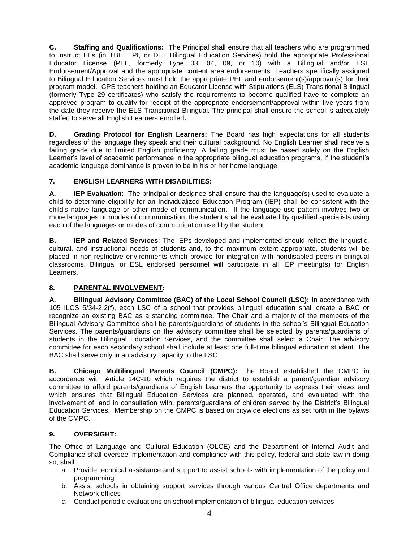**C. Staffing and Qualifications:** The Principal shall ensure that all teachers who are programmed to instruct ELs (in TBE, TPI, or DLE Bilingual Education Services) hold the appropriate Professional Educator License (PEL, formerly Type 03, 04, 09, or 10) with a Bilingual and/or ESL Endorsement/Approval and the appropriate content area endorsements. Teachers specifically assigned to Bilingual Education Services must hold the appropriate PEL and endorsement(s)/approval(s) for their program model. CPS teachers holding an Educator License with Stipulations (ELS) Transitional Bilingual (formerly Type 29 certificates) who satisfy the requirements to become qualified have to complete an approved program to qualify for receipt of the appropriate endorsement/approval within five years from the date they receive the ELS Transitional Bilingual. The principal shall ensure the school is adequately staffed to serve all English Learners enrolled**.**

**D. Grading Protocol for English Learners:** The Board has high expectations for all students regardless of the language they speak and their cultural background. No English Learner shall receive a failing grade due to limited English proficiency. A failing grade must be based solely on the English Learner's level of academic performance in the appropriate bilingual education programs, if the student's academic language dominance is proven to be in his or her home language.

# **7. ENGLISH LEARNERS WITH DISABILITIES:**

**A. IEP Evaluation**: The principal or designee shall ensure that the language(s) used to evaluate a child to determine eligibility for an Individualized Education Program (IEP) shall be consistent with the child's native language or other mode of communication. If the language use pattern involves two or more languages or modes of communication, the student shall be evaluated by qualified specialists using each of the languages or modes of communication used by the student.

**B. IEP and Related Services**: The IEPs developed and implemented should reflect the linguistic, cultural, and instructional needs of students and, to the maximum extent appropriate, students will be placed in non-restrictive environments which provide for integration with nondisabled peers in bilingual classrooms. Bilingual or ESL endorsed personnel will participate in all IEP meeting(s) for English Learners.

# **8. PARENTAL INVOLVEMENT:**

**A. Bilingual Advisory Committee (BAC) of the Local School Council (LSC):** In accordance with 105 ILCS 5/34-2.2(f), each LSC of a school that provides bilingual education shall create a BAC or recognize an existing BAC as a standing committee. The Chair and a majority of the members of the Bilingual Advisory Committee shall be parents/guardians of students in the school's Bilingual Education Services. The parents/guardians on the advisory committee shall be selected by parents/guardians of students in the Bilingual Education Services, and the committee shall select a Chair. The advisory committee for each secondary school shall include at least one full-time bilingual education student. The BAC shall serve only in an advisory capacity to the LSC.

**B. Chicago Multilingual Parents Council (CMPC):** The Board established the CMPC in accordance with Article 14C-10 which requires the district to establish a parent/guardian advisory committee to afford parents/guardians of English Learners the opportunity to express their views and which ensures that Bilingual Education Services are planned, operated, and evaluated with the involvement of, and in consultation with, parents/guardians of children served by the District's Bilingual Education Services. Membership on the CMPC is based on citywide elections as set forth in the bylaws of the CMPC.

# **9. OVERSIGHT:**

The Office of Language and Cultural Education (OLCE) and the Department of Internal Audit and Compliance shall oversee implementation and compliance with this policy, federal and state law in doing so, shall:

- a. Provide technical assistance and support to assist schools with implementation of the policy and programming
- b. Assist schools in obtaining support services through various Central Office departments and Network offices
- c. Conduct periodic evaluations on school implementation of bilingual education services